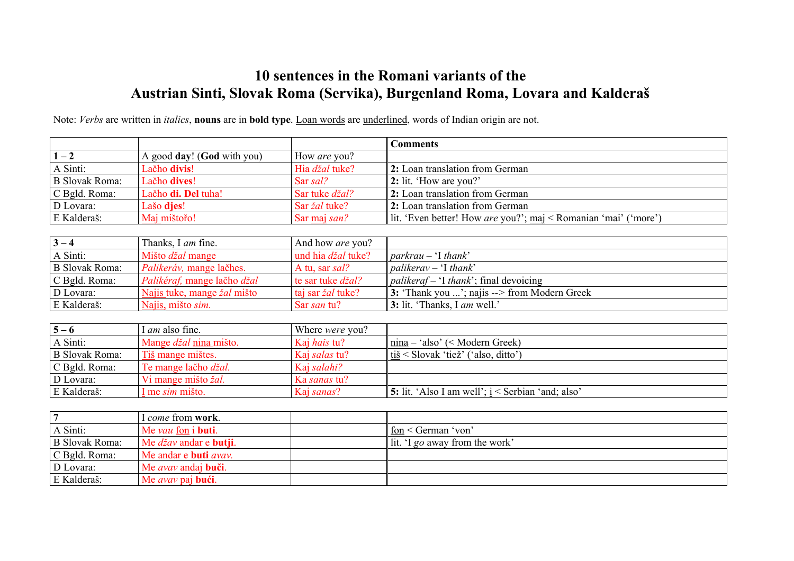## **10 sentences in the Romani variants of the Austrian Sinti, Slovak Roma (Servika), Burgenland Roma, Lovara and Kalderaš**

Note: *Verbs* are written in *italics*, **nouns** are in **bold type**. Loan words are underlined, words of Indian origin are not.

D Lovara: Me *avav* andaj **buči**.

E Kalderaš: Me *avav* paj **bući**.

|                       |                                       |                           | <b>Comments</b>                                                 |
|-----------------------|---------------------------------------|---------------------------|-----------------------------------------------------------------|
| $1 - 2$               | A good day! (God with you)            | How are you?              |                                                                 |
| A Sinti:              | Lačho divis!                          | Hia džal tuke?            | 2: Loan translation from German                                 |
| <b>B</b> Slovak Roma: | Lačho dives!                          | Sar sal?                  | 2: lit. 'How are you?'                                          |
| C Bgld. Roma:         | Lačho di. Del tuha!                   | Sar tuke džal?            | 2: Loan translation from German                                 |
| D Lovara:             | Lašo djes!                            | Sar žal tuke?             | 2: Loan translation from German                                 |
| E Kalderaš:           | Maj mištořo!                          | Sar maj san?              | lit. 'Even better! How are you?'; maj < Romanian 'mai' ('more') |
|                       |                                       |                           |                                                                 |
| $3 - 4$               | Thanks, I am fine.                    | And how are you?          |                                                                 |
| A Sinti:              | Mišto džal mange                      | und hia džal tuke?        | $parkrau - 'I thank'$                                           |
| <b>B</b> Slovak Roma: | Palikeráv, mange lačhes.              | A tu, sar sal?            | $palikerav - 'I thank'$                                         |
| C Bgld. Roma:         | Palikéraf, mange lačho džal           | te sar tuke <i>džal</i> ? | <i>palikeraf</i> - 'I <i>thank</i> '; final devoicing           |
| D Lovara:             | Najis tuke, mange žal mišto           | taj sar žal tuke?         | 3: 'Thank you '; najis --> from Modern Greek                    |
| E Kalderaš:           | Najis, mišto sim.                     | Sar san tu?               | 3: lit. 'Thanks, I am well.'                                    |
|                       |                                       |                           |                                                                 |
| $5 - 6$               | I am also fine.                       | Where were you?           |                                                                 |
| A Sinti:              | Mange džal nina mišto.                | Kaj hais tu?              | $nina - 'also' (Modern Greek)$                                  |
| <b>B</b> Slovak Roma: | Tiš mange mištes.                     | Kaj salas tu?             | tiš < Slovak 'tiež' ('also, ditto')                             |
| C Bgld. Roma:         | Te mange lačho džal.                  | Kaj salahi?               |                                                                 |
| D Lovara:             | Vi mange mišto žal.                   | Ka sanas tu?              |                                                                 |
| E Kalderaš:           | I me sim mišto.                       | Kaj sanas?                | 5: lit. 'Also I am well'; i < Serbian 'and; also'               |
|                       |                                       |                           |                                                                 |
| $\overline{7}$        | I come from work.                     |                           |                                                                 |
| A Sinti:              | Me vau fon i buti.                    |                           | fon < German 'von'                                              |
| <b>B</b> Slovak Roma: | Me <i>džav</i> andar e <b>butji</b> . |                           | lit. 'I go away from the work'                                  |
| C Bgld. Roma:         | Me andar e buti avav.                 |                           |                                                                 |